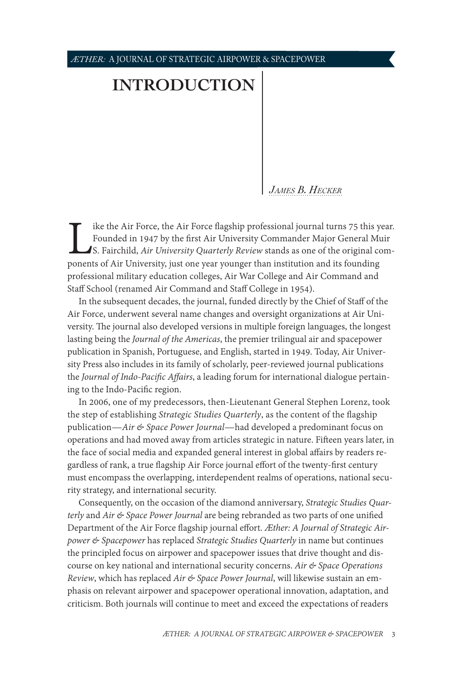## **INTRODUCTION**

*[James B. Hecker](#page-0-0)*

Ike the Air Force, the Air Force flagship professional journal turns 75 this year.<br>Founded in 1947 by the first Air University Commander Major General Muir<br>S. Fairchild, Air University, Quarterly Review stands as one of th Founded in 1947 by the first Air University Commander Major General Muir S. Fairchild, *Air University Quarterly Review* stands as one of the original comprofessional military education colleges, Air War College and Air Command and Staff School (renamed Air Command and Staff College in 1954).

In the subsequent decades, the journal, funded directly by the Chief of Staff of the Air Force, underwent several name changes and oversight organizations at Air University. The journal also developed versions in multiple foreign languages, the longest lasting being the *Journal of the Americas*, the premier trilingual air and spacepower publication in Spanish, Portuguese, and English, started in 1949. Today, Air University Press also includes in its family of scholarly, peer-reviewed journal publications the *Journal of Indo-Pacific Affairs*, a leading forum for international dialogue pertaining to the Indo-Pacific region.

In 2006, one of my predecessors, then-Lieutenant General Stephen Lorenz, took the step of establishing *Strategic Studies Quarterly*, as the content of the flagship publication—*Air & Space Power Journal*—had developed a predominant focus on operations and had moved away from articles strategic in nature. Fifteen years later, in the face of social media and expanded general interest in global affairs by readers regardless of rank, a true flagship Air Force journal effort of the twenty-first century must encompass the overlapping, interdependent realms of operations, national security strategy, and international security.

<span id="page-0-0"></span>Consequently, on the occasion of the diamond anniversary, *Strategic Studies Quarterly* and *Air & Space Power Journal* are being rebranded as two parts of one unified Department of the Air Force flagship journal effort. *Æther: A Journal of Strategic Airpower & Spacepower* has replaced *Strategic Studies Quarterly* in name but continues the principled focus on airpower and spacepower issues that drive thought and discourse on key national and international security concerns. *Air & Space Operations Review*, which has replaced *Air & Space Power Journal*, will likewise sustain an emphasis on relevant airpower and spacepower operational innovation, adaptation, and criticism. Both journals will continue to meet and exceed the expectations of readers